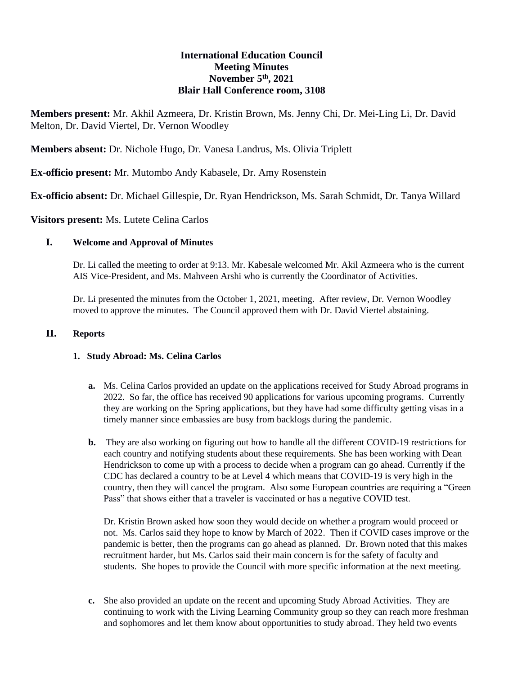## **International Education Council Meeting Minutes November 5th, 2021 Blair Hall Conference room, 3108**

**Members present:** Mr. Akhil Azmeera, Dr. Kristin Brown, Ms. Jenny Chi, Dr. Mei-Ling Li, Dr. David Melton, Dr. David Viertel, Dr. Vernon Woodley

**Members absent:** Dr. Nichole Hugo, Dr. Vanesa Landrus, Ms. Olivia Triplett

**Ex-officio present:** Mr. Mutombo Andy Kabasele, Dr. Amy Rosenstein

**Ex-officio absent:** Dr. Michael Gillespie, Dr. Ryan Hendrickson, Ms. Sarah Schmidt, Dr. Tanya Willard

**Visitors present:** Ms. Lutete Celina Carlos

# **I. Welcome and Approval of Minutes**

Dr. Li called the meeting to order at 9:13. Mr. Kabesale welcomed Mr. Akil Azmeera who is the current AIS Vice-President, and Ms. Mahveen Arshi who is currently the Coordinator of Activities.

Dr. Li presented the minutes from the October 1, 2021, meeting. After review, Dr. Vernon Woodley moved to approve the minutes. The Council approved them with Dr. David Viertel abstaining.

#### **II. Reports**

## **1. Study Abroad: Ms. Celina Carlos**

- **a.** Ms. Celina Carlos provided an update on the applications received for Study Abroad programs in 2022. So far, the office has received 90 applications for various upcoming programs. Currently they are working on the Spring applications, but they have had some difficulty getting visas in a timely manner since embassies are busy from backlogs during the pandemic.
- **b.** They are also working on figuring out how to handle all the different COVID-19 restrictions for each country and notifying students about these requirements. She has been working with Dean Hendrickson to come up with a process to decide when a program can go ahead. Currently if the CDC has declared a country to be at Level 4 which means that COVID-19 is very high in the country, then they will cancel the program. Also some European countries are requiring a "Green Pass" that shows either that a traveler is vaccinated or has a negative COVID test.

Dr. Kristin Brown asked how soon they would decide on whether a program would proceed or not. Ms. Carlos said they hope to know by March of 2022. Then if COVID cases improve or the pandemic is better, then the programs can go ahead as planned. Dr. Brown noted that this makes recruitment harder, but Ms. Carlos said their main concern is for the safety of faculty and students. She hopes to provide the Council with more specific information at the next meeting.

**c.** She also provided an update on the recent and upcoming Study Abroad Activities. They are continuing to work with the Living Learning Community group so they can reach more freshman and sophomores and let them know about opportunities to study abroad. They held two events